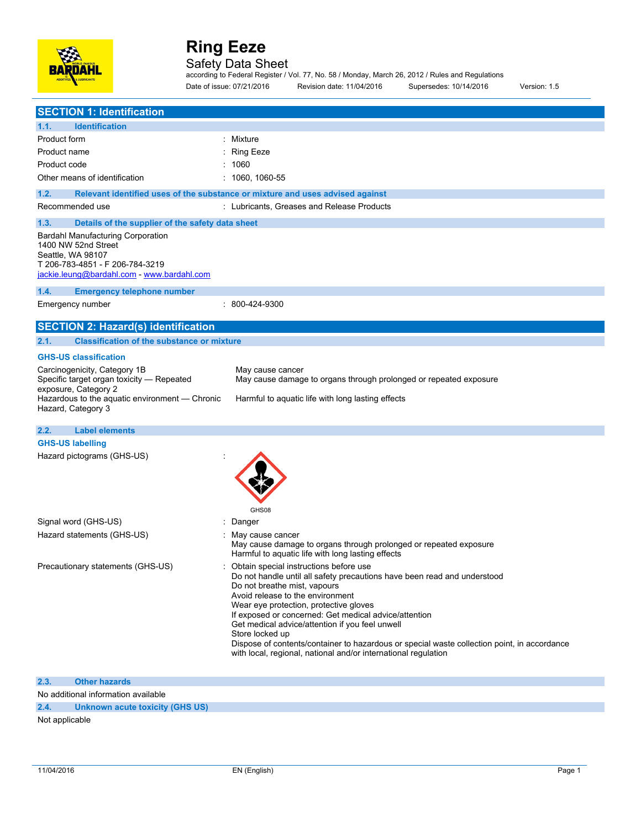

### Safety Data Sheet

according to Federal Register / Vol. 77, No. 58 / Monday, March 26, 2012 / Rules and Regulations Date of issue: 07/21/2016 Revision date: 11/04/2016 Supersedes: 10/14/2016 Version: 1.5

| <b>SECTION 1: Identification</b>                                                                                                                                          |                                                                                                                                                                                                                                                                                                                                                                                                                                                                                                                                    |
|---------------------------------------------------------------------------------------------------------------------------------------------------------------------------|------------------------------------------------------------------------------------------------------------------------------------------------------------------------------------------------------------------------------------------------------------------------------------------------------------------------------------------------------------------------------------------------------------------------------------------------------------------------------------------------------------------------------------|
| <b>Identification</b><br>1.1.                                                                                                                                             |                                                                                                                                                                                                                                                                                                                                                                                                                                                                                                                                    |
| Product form                                                                                                                                                              | : Mixture                                                                                                                                                                                                                                                                                                                                                                                                                                                                                                                          |
| Product name                                                                                                                                                              | Ring Eeze                                                                                                                                                                                                                                                                                                                                                                                                                                                                                                                          |
| Product code                                                                                                                                                              | 1060                                                                                                                                                                                                                                                                                                                                                                                                                                                                                                                               |
| Other means of identification                                                                                                                                             | $: 1060, 1060 - 55$                                                                                                                                                                                                                                                                                                                                                                                                                                                                                                                |
|                                                                                                                                                                           |                                                                                                                                                                                                                                                                                                                                                                                                                                                                                                                                    |
| 1.2.                                                                                                                                                                      | Relevant identified uses of the substance or mixture and uses advised against                                                                                                                                                                                                                                                                                                                                                                                                                                                      |
| Recommended use                                                                                                                                                           | : Lubricants, Greases and Release Products                                                                                                                                                                                                                                                                                                                                                                                                                                                                                         |
| 1.3.<br>Details of the supplier of the safety data sheet                                                                                                                  |                                                                                                                                                                                                                                                                                                                                                                                                                                                                                                                                    |
| <b>Bardahl Manufacturing Corporation</b><br>1400 NW 52nd Street<br>Seattle, WA 98107<br>T 206-783-4851 - F 206-784-3219<br>jackie.leung@bardahl.com - www.bardahl.com     |                                                                                                                                                                                                                                                                                                                                                                                                                                                                                                                                    |
| 1.4.<br><b>Emergency telephone number</b>                                                                                                                                 |                                                                                                                                                                                                                                                                                                                                                                                                                                                                                                                                    |
| Emergency number                                                                                                                                                          | : 800-424-9300                                                                                                                                                                                                                                                                                                                                                                                                                                                                                                                     |
| <b>SECTION 2: Hazard(s) identification</b>                                                                                                                                |                                                                                                                                                                                                                                                                                                                                                                                                                                                                                                                                    |
| <b>Classification of the substance or mixture</b><br>2.1.                                                                                                                 |                                                                                                                                                                                                                                                                                                                                                                                                                                                                                                                                    |
| <b>GHS-US classification</b>                                                                                                                                              |                                                                                                                                                                                                                                                                                                                                                                                                                                                                                                                                    |
| Carcinogenicity, Category 1B<br>Specific target organ toxicity - Repeated<br>exposure, Category 2<br>Hazardous to the aquatic environment - Chronic<br>Hazard, Category 3 | May cause cancer<br>May cause damage to organs through prolonged or repeated exposure<br>Harmful to aquatic life with long lasting effects                                                                                                                                                                                                                                                                                                                                                                                         |
| 2.2.<br><b>Label elements</b>                                                                                                                                             |                                                                                                                                                                                                                                                                                                                                                                                                                                                                                                                                    |
| <b>GHS-US labelling</b>                                                                                                                                                   |                                                                                                                                                                                                                                                                                                                                                                                                                                                                                                                                    |
| Hazard pictograms (GHS-US)                                                                                                                                                | GHS08                                                                                                                                                                                                                                                                                                                                                                                                                                                                                                                              |
| Signal word (GHS-US)                                                                                                                                                      | : Danger                                                                                                                                                                                                                                                                                                                                                                                                                                                                                                                           |
| Hazard statements (GHS-US)                                                                                                                                                | : May cause cancer<br>May cause damage to organs through prolonged or repeated exposure<br>Harmful to aquatic life with long lasting effects                                                                                                                                                                                                                                                                                                                                                                                       |
| Precautionary statements (GHS-US)                                                                                                                                         | : Obtain special instructions before use<br>Do not handle until all safety precautions have been read and understood<br>Do not breathe mist, vapours<br>Avoid release to the environment<br>Wear eye protection, protective gloves<br>If exposed or concerned: Get medical advice/attention<br>Get medical advice/attention if you feel unwell<br>Store locked up<br>Dispose of contents/container to hazardous or special waste collection point, in accordance<br>with local, regional, national and/or international regulation |
| <b>Other hazards</b><br>2.3.                                                                                                                                              |                                                                                                                                                                                                                                                                                                                                                                                                                                                                                                                                    |

No additional information available

**2.4. Unknown acute toxicity (GHS US)**

Not applicable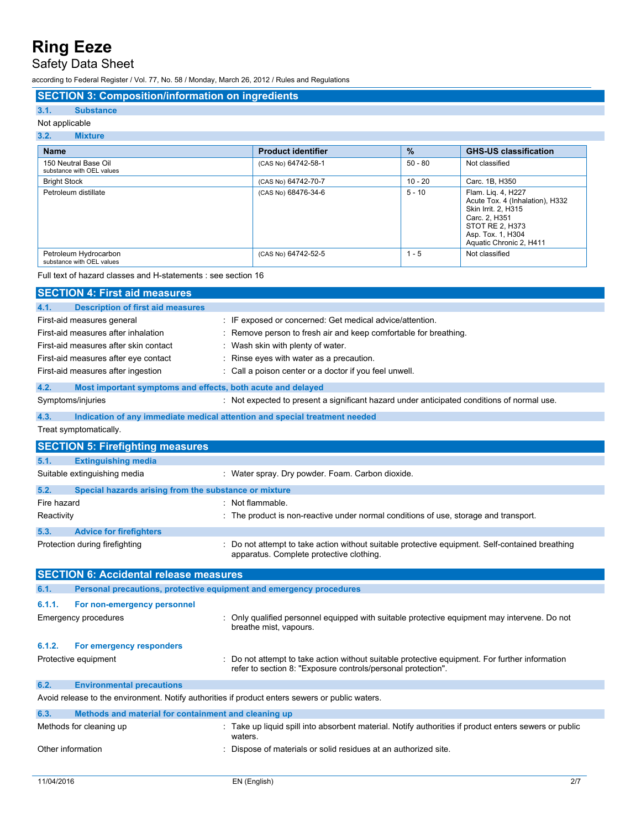### Safety Data Sheet

according to Federal Register / Vol. 77, No. 58 / Monday, March 26, 2012 / Rules and Regulations

#### **SECTION 3: Composition/information on ingredients**

#### **3.1. Substance** Not applicable

### **3.2. Mixture**

| <b>Name</b>                                        | <b>Product identifier</b> | $\%$      | <b>GHS-US classification</b>                                                                                                                                            |
|----------------------------------------------------|---------------------------|-----------|-------------------------------------------------------------------------------------------------------------------------------------------------------------------------|
| 150 Neutral Base Oil<br>substance with OEL values  | (CAS No) 64742-58-1       | $50 - 80$ | Not classified                                                                                                                                                          |
| <b>Bright Stock</b>                                | (CAS No) 64742-70-7       | $10 - 20$ | Carc. 1B, H350                                                                                                                                                          |
| Petroleum distillate                               | (CAS No) 68476-34-6       | $5 - 10$  | Flam. Lig. 4, H227<br>Acute Tox. 4 (Inhalation), H332<br><b>Skin Irrit. 2. H315</b><br>Carc. 2. H351<br>STOT RE 2. H373<br>Asp. Tox. 1, H304<br>Aquatic Chronic 2, H411 |
| Petroleum Hydrocarbon<br>substance with OEL values | (CAS No) 64742-52-5       | $1 - 5$   | Not classified                                                                                                                                                          |

Full text of hazard classes and H-statements : see section 16

|                                                                                                 | <b>SECTION 4: First aid measures</b>                                |                                                                                                                                                                |
|-------------------------------------------------------------------------------------------------|---------------------------------------------------------------------|----------------------------------------------------------------------------------------------------------------------------------------------------------------|
| 4.1.                                                                                            | <b>Description of first aid measures</b>                            |                                                                                                                                                                |
| First-aid measures general                                                                      |                                                                     | : IF exposed or concerned: Get medical advice/attention.                                                                                                       |
| First-aid measures after inhalation                                                             |                                                                     | : Remove person to fresh air and keep comfortable for breathing.                                                                                               |
| First-aid measures after skin contact                                                           |                                                                     | : Wash skin with plenty of water.                                                                                                                              |
|                                                                                                 | First-aid measures after eye contact                                | : Rinse eyes with water as a precaution.                                                                                                                       |
|                                                                                                 | First-aid measures after ingestion                                  | : Call a poison center or a doctor if you feel unwell.                                                                                                         |
| 4.2.                                                                                            | Most important symptoms and effects, both acute and delayed         |                                                                                                                                                                |
|                                                                                                 | Symptoms/injuries                                                   | : Not expected to present a significant hazard under anticipated conditions of normal use.                                                                     |
| 4.3.                                                                                            |                                                                     | Indication of any immediate medical attention and special treatment needed                                                                                     |
|                                                                                                 | Treat symptomatically.                                              |                                                                                                                                                                |
|                                                                                                 | <b>SECTION 5: Firefighting measures</b>                             |                                                                                                                                                                |
| 5.1.                                                                                            | <b>Extinguishing media</b>                                          |                                                                                                                                                                |
|                                                                                                 | Suitable extinguishing media                                        | : Water spray. Dry powder. Foam. Carbon dioxide.                                                                                                               |
| 5.2.                                                                                            | Special hazards arising from the substance or mixture               |                                                                                                                                                                |
| Fire hazard                                                                                     |                                                                     | : Not flammable.                                                                                                                                               |
| Reactivity                                                                                      |                                                                     | : The product is non-reactive under normal conditions of use, storage and transport.                                                                           |
| 5.3.                                                                                            | <b>Advice for firefighters</b>                                      |                                                                                                                                                                |
|                                                                                                 | Protection during firefighting                                      | : Do not attempt to take action without suitable protective equipment. Self-contained breathing<br>apparatus. Complete protective clothing.                    |
|                                                                                                 | <b>SECTION 6: Accidental release measures</b>                       |                                                                                                                                                                |
| 6.1.                                                                                            | Personal precautions, protective equipment and emergency procedures |                                                                                                                                                                |
| 6.1.1.                                                                                          | For non-emergency personnel                                         |                                                                                                                                                                |
|                                                                                                 | <b>Emergency procedures</b>                                         | : Only qualified personnel equipped with suitable protective equipment may intervene. Do not<br>breathe mist, vapours.                                         |
| 6.1.2.                                                                                          | For emergency responders                                            |                                                                                                                                                                |
|                                                                                                 | Protective equipment                                                | : Do not attempt to take action without suitable protective equipment. For further information<br>refer to section 8: "Exposure controls/personal protection". |
| 6.2.                                                                                            | <b>Environmental precautions</b>                                    |                                                                                                                                                                |
| Avoid release to the environment. Notify authorities if product enters sewers or public waters. |                                                                     |                                                                                                                                                                |
| 6.3.                                                                                            | Methods and material for containment and cleaning up                |                                                                                                                                                                |
|                                                                                                 | Methods for cleaning up                                             | : Take up liquid spill into absorbent material. Notify authorities if product enters sewers or public<br>waters.                                               |
| Other information                                                                               |                                                                     | : Dispose of materials or solid residues at an authorized site.                                                                                                |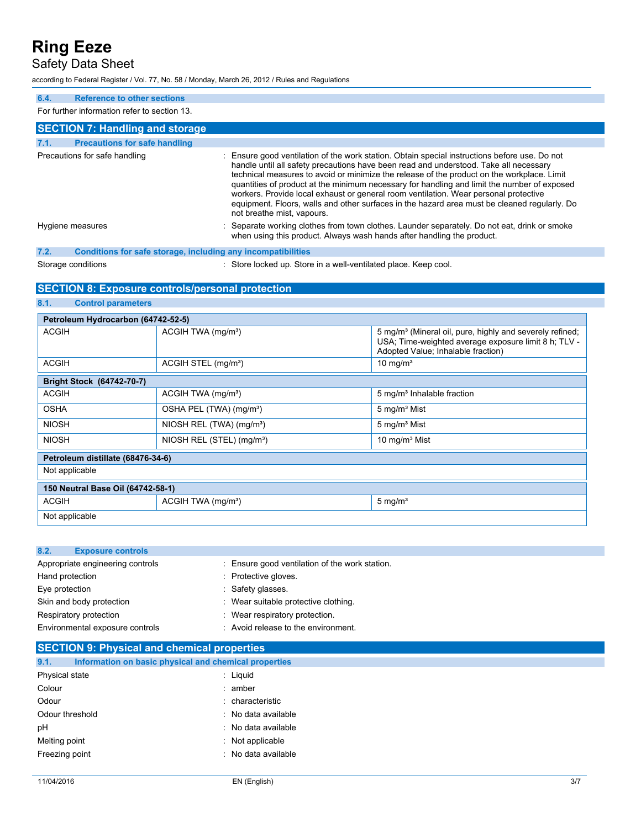Safety Data Sheet

according to Federal Register / Vol. 77, No. 58 / Monday, March 26, 2012 / Rules and Regulations

#### **6.4. Reference to other sections** For further information refer to section 13. **SECTION 7: Handling and storage 7.1. Precautions for safe handling** Precautions for safe handling **interpretent in the station** of the work station. Obtain special instructions before use. Do not handle until all safety precautions have been read and understood. Take all necessary technical measures to avoid or minimize the release of the product on the workplace. Limit quantities of product at the minimum necessary for handling and limit the number of exposed workers. Provide local exhaust or general room ventilation. Wear personal protective equipment. Floors, walls and other surfaces in the hazard area must be cleaned regularly. Do not breathe mist, vapours. Hygiene measures **interpretatal in the separate working clothes from town clothes.** Launder separately. Do not eat, drink or smoke when using this product. Always wash hands after handling the product. **7.2. Conditions for safe storage, including any incompatibilities** Storage conditions : Store locked up. Store in a well-ventilated place. Keep cool.

#### **SECTION 8: Exposure controls/personal protection**

| 8.1.<br><b>Control parameters</b>  |                                       |                                                                                                                                                                    |
|------------------------------------|---------------------------------------|--------------------------------------------------------------------------------------------------------------------------------------------------------------------|
| Petroleum Hydrocarbon (64742-52-5) |                                       |                                                                                                                                                                    |
| <b>ACGIH</b>                       | ACGIH TWA (mg/m <sup>3</sup> )        | 5 mg/m <sup>3</sup> (Mineral oil, pure, highly and severely refined;<br>USA; Time-weighted average exposure limit 8 h; TLV -<br>Adopted Value; Inhalable fraction) |
| <b>ACGIH</b>                       | ACGIH STEL (mg/m <sup>3</sup> )       | 10 mg/m <sup>3</sup>                                                                                                                                               |
| Bright Stock (64742-70-7)          |                                       |                                                                                                                                                                    |
| <b>ACGIH</b>                       | ACGIH TWA (mg/m <sup>3</sup> )        | 5 mg/m <sup>3</sup> Inhalable fraction                                                                                                                             |
| <b>OSHA</b>                        | OSHA PEL (TWA) (mg/m <sup>3</sup> )   | 5 mg/m <sup>3</sup> Mist                                                                                                                                           |
| <b>NIOSH</b>                       | NIOSH REL (TWA) (mg/m <sup>3</sup> )  | 5 mg/m <sup>3</sup> Mist                                                                                                                                           |
| <b>NIOSH</b>                       | NIOSH REL (STEL) (mg/m <sup>3</sup> ) | 10 mg/m <sup>3</sup> Mist                                                                                                                                          |
| Petroleum distillate (68476-34-6)  |                                       |                                                                                                                                                                    |
| Not applicable                     |                                       |                                                                                                                                                                    |
| 150 Neutral Base Oil (64742-58-1)  |                                       |                                                                                                                                                                    |
| <b>ACGIH</b>                       | ACGIH TWA (mg/m <sup>3</sup> )        | $5 \text{ mg/m}^3$                                                                                                                                                 |
| Not applicable                     |                                       |                                                                                                                                                                    |

| : Ensure good ventilation of the work station. |
|------------------------------------------------|
| : Protective gloves.                           |
| : Safety glasses.                              |
| : Wear suitable protective clothing.           |
| : Wear respiratory protection.                 |
| : Avoid release to the environment.            |
|                                                |

| <b>SECTION 9: Physical and chemical properties</b> |                                                       |  |
|----------------------------------------------------|-------------------------------------------------------|--|
| 9.1.                                               | Information on basic physical and chemical properties |  |
| Physical state                                     | : Liguid                                              |  |
| Colour                                             | $:$ amber                                             |  |
| Odour                                              | : characteristic                                      |  |
| Odour threshold                                    | : No data available                                   |  |
| pH                                                 | : No data available                                   |  |
| Melting point                                      | : Not applicable                                      |  |
| Freezing point                                     | : No data available                                   |  |
|                                                    |                                                       |  |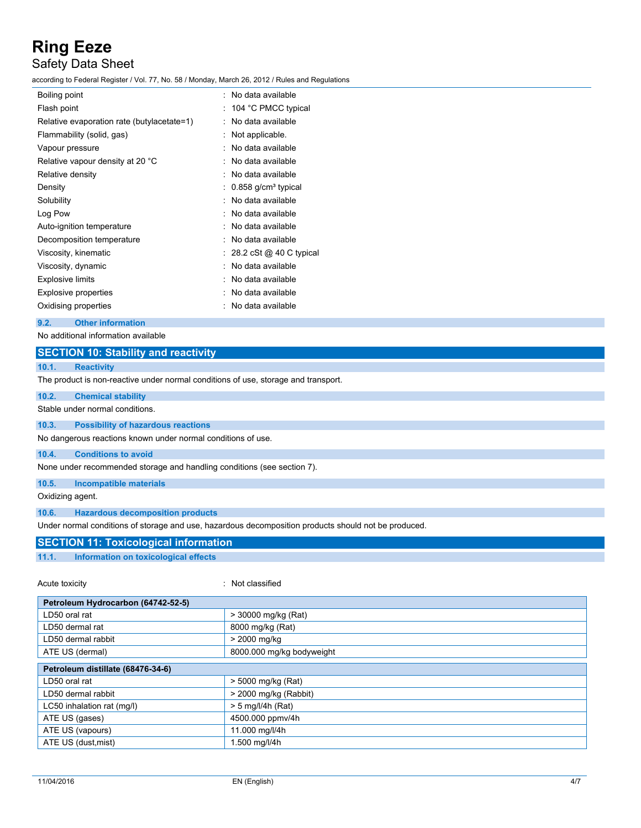### Safety Data Sheet

according to Federal Register / Vol. 77, No. 58 / Monday, March 26, 2012 / Rules and Regulations

| Boiling point                              | : No data available               |
|--------------------------------------------|-----------------------------------|
| Flash point                                | 104 °C PMCC typical               |
| Relative evaporation rate (butylacetate=1) | No data available                 |
| Flammability (solid, gas)                  | Not applicable.                   |
| Vapour pressure                            | No data available                 |
| Relative vapour density at 20 °C           | No data available                 |
| Relative density                           | No data available                 |
| Density                                    | $0.858$ g/cm <sup>3</sup> typical |
| Solubility                                 | No data available                 |
| Log Pow                                    | No data available                 |
| Auto-ignition temperature                  | No data available                 |
| Decomposition temperature                  | No data available                 |
| Viscosity, kinematic                       | 28.2 cSt @ 40 C typical           |
| Viscosity, dynamic                         | No data available                 |
| <b>Explosive limits</b>                    | No data available                 |
| <b>Explosive properties</b>                | No data available                 |
| Oxidising properties                       | No data available                 |
|                                            |                                   |

#### **9.2. Other information**

No additional information available

| <b>SECTION 10: Stability and reactivity</b> |  |
|---------------------------------------------|--|
|                                             |  |

#### **10.1. Reactivity**

The product is non-reactive under normal conditions of use, storage and transport.

| 10.2. | <b>Chemical stability</b>       |
|-------|---------------------------------|
|       | Stable under normal conditions. |

#### **10.3. Possibility of hazardous reactions**

No dangerous reactions known under normal conditions of use.

#### **10.4. Conditions to avoid**

None under recommended storage and handling conditions (see section 7).

#### **10.5. Incompatible materials**

Oxidizing agent.

**10.6. Hazardous decomposition products**

Under normal conditions of storage and use, hazardous decomposition products should not be produced.

#### **SECTION 11: Toxicological information 11.1. Information on toxicological effects**

Acute toxicity **in the case of the case of the case of the case of the case of the case of the case of the case of the case of the case of the case of the case of the case of the case of the case of the case of the case of** 

| Petroleum Hydrocarbon (64742-52-5) |  |  |
|------------------------------------|--|--|
| > 30000 mg/kg (Rat)                |  |  |
| 8000 mg/kg (Rat)                   |  |  |
| > 2000 mg/kg                       |  |  |
| 8000.000 mg/kg bodyweight          |  |  |
|                                    |  |  |
| Petroleum distillate (68476-34-6)  |  |  |
| > 5000 mg/kg (Rat)                 |  |  |
| $>$ 2000 mg/kg (Rabbit)            |  |  |
| $> 5$ mg/l/4h (Rat)                |  |  |
| 4500.000 ppmv/4h                   |  |  |
| 11.000 mg/l/4h                     |  |  |
| 1.500 mg/l/4h                      |  |  |
|                                    |  |  |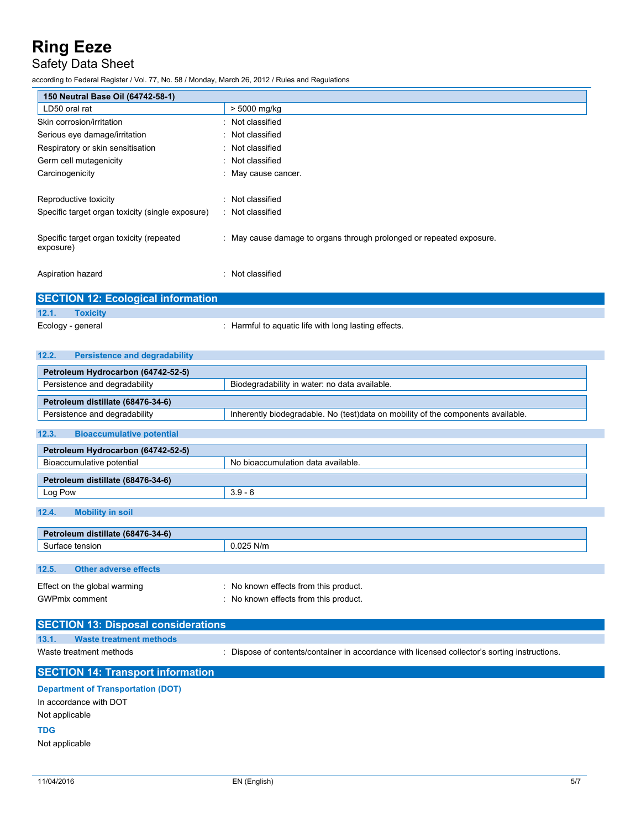## Safety Data Sheet

according to Federal Register / Vol. 77, No. 58 / Monday, March 26, 2012 / Rules and Regulations

| 150 Neutral Base Oil (64742-58-1)                     |                                                                      |  |
|-------------------------------------------------------|----------------------------------------------------------------------|--|
| LD50 oral rat                                         | > 5000 mg/kg                                                         |  |
| Skin corrosion/irritation                             | : Not classified                                                     |  |
| Serious eye damage/irritation                         | : Not classified                                                     |  |
| Respiratory or skin sensitisation                     | : Not classified                                                     |  |
| Germ cell mutagenicity                                | : Not classified                                                     |  |
| Carcinogenicity                                       | : May cause cancer.                                                  |  |
| Reproductive toxicity                                 | : Not classified                                                     |  |
| Specific target organ toxicity (single exposure)      | : Not classified                                                     |  |
| Specific target organ toxicity (repeated<br>exposure) | : May cause damage to organs through prolonged or repeated exposure. |  |
| Aspiration hazard                                     | : Not classified                                                     |  |

|                   | <b>SECTION 12: Ecological information</b> |                                                      |
|-------------------|-------------------------------------------|------------------------------------------------------|
| 12.1.             | <b>Toxicity</b>                           |                                                      |
| Ecology - general |                                           | : Harmful to aquatic life with long lasting effects. |

| <b>Persistence and degradability</b><br>12.2. |                                                                                               |
|-----------------------------------------------|-----------------------------------------------------------------------------------------------|
| Petroleum Hydrocarbon (64742-52-5)            |                                                                                               |
| Persistence and degradability                 | Biodegradability in water: no data available.                                                 |
| Petroleum distillate (68476-34-6)             |                                                                                               |
| Persistence and degradability                 | Inherently biodegradable. No (test)data on mobility of the components available.              |
| 12.3.<br><b>Bioaccumulative potential</b>     |                                                                                               |
|                                               |                                                                                               |
| Petroleum Hydrocarbon (64742-52-5)            |                                                                                               |
| Bioaccumulative potential                     | No bioaccumulation data available.                                                            |
| Petroleum distillate (68476-34-6)             |                                                                                               |
| Log Pow                                       | $3.9 - 6$                                                                                     |
| 12.4.<br><b>Mobility in soil</b>              |                                                                                               |
|                                               |                                                                                               |
| Petroleum distillate (68476-34-6)             |                                                                                               |
| Surface tension                               | $0.025$ N/m                                                                                   |
|                                               |                                                                                               |
| 12.5.<br><b>Other adverse effects</b>         |                                                                                               |
| Effect on the global warming                  | : No known effects from this product.                                                         |
| <b>GWPmix comment</b>                         | : No known effects from this product.                                                         |
|                                               |                                                                                               |
| <b>SECTION 13: Disposal considerations</b>    |                                                                                               |
| 13.1.<br><b>Waste treatment methods</b>       |                                                                                               |
| Waste treatment methods                       | : Dispose of contents/container in accordance with licensed collector's sorting instructions. |
|                                               |                                                                                               |
| <b>SECTION 14: Transport information</b>      |                                                                                               |

#### **Department of Transportation (DOT)**

In accordance with DOT Not applicable

**TDG**

Not applicable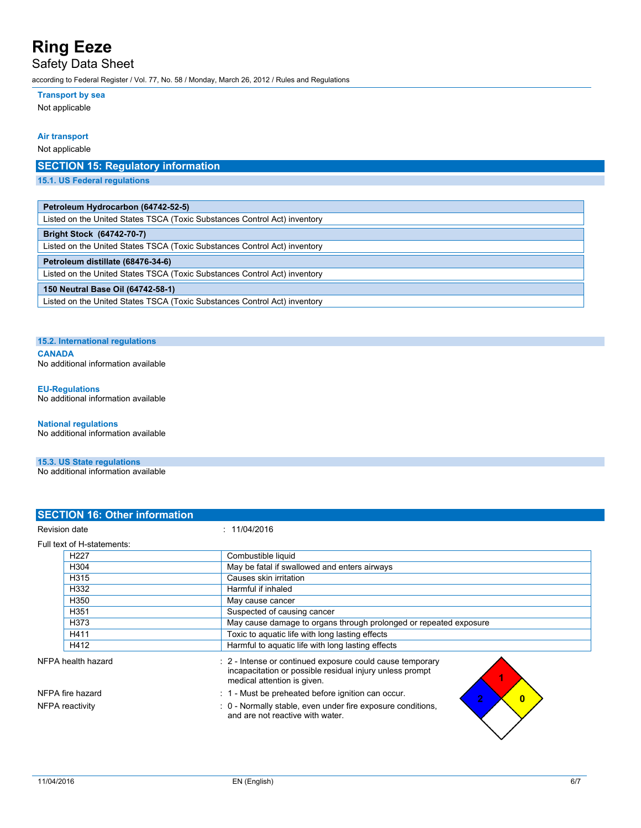Safety Data Sheet

according to Federal Register / Vol. 77, No. 58 / Monday, March 26, 2012 / Rules and Regulations

#### **Transport by sea**

Not applicable

#### **Air transport**

Not applicable

### **SECTION 15: Regulatory information**

**15.1. US Federal regulations**

| Petroleum Hydrocarbon (64742-52-5) |                                                                           |  |  |  |  |
|------------------------------------|---------------------------------------------------------------------------|--|--|--|--|
|                                    | Listed on the United States TSCA (Toxic Substances Control Act) inventory |  |  |  |  |

|                                  | Listed on the United States TSCA (TOXIC Subs |
|----------------------------------|----------------------------------------------|
| <b>Bright Stock (64742-70-7)</b> |                                              |

Listed on the United States TSCA (Toxic Substances Control Act) inventory

#### **Petroleum distillate (68476-34-6)**

Listed on the United States TSCA (Toxic Substances Control Act) inventory **150 Neutral Base Oil (64742-58-1)** Listed on the United States TSCA (Toxic Substances Control Act) inventory

#### **15.2. International regulations**

**CANADA** No additional information available

#### **EU-Regulations** No additional information available

**National regulations** No additional information available

### **15.3. US State regulations**

No additional information available

| <b>SECTION 16: Other information</b> |                                                                                                                                                      |
|--------------------------------------|------------------------------------------------------------------------------------------------------------------------------------------------------|
| <b>Revision date</b>                 | : 11/04/2016                                                                                                                                         |
| Full text of H-statements:           |                                                                                                                                                      |
| H <sub>22</sub> 7                    | Combustible liquid                                                                                                                                   |
| H <sub>304</sub>                     | May be fatal if swallowed and enters airways                                                                                                         |
| H315                                 | Causes skin irritation                                                                                                                               |
| H332                                 | Harmful if inhaled                                                                                                                                   |
| H350                                 | May cause cancer                                                                                                                                     |
| H <sub>351</sub>                     | Suspected of causing cancer                                                                                                                          |
| H <sub>3</sub> 73                    | May cause damage to organs through prolonged or repeated exposure                                                                                    |
| H411                                 | Toxic to aquatic life with long lasting effects                                                                                                      |
| H412                                 | Harmful to aquatic life with long lasting effects                                                                                                    |
| NFPA health hazard                   | : 2 - Intense or continued exposure could cause temporary<br>incapacitation or possible residual injury unless prompt<br>medical attention is given. |
| NFPA fire hazard                     | : 1 - Must be preheated before ignition can occur.<br>$\overline{2}$<br>$\mathbf{0}$                                                                 |
| NFPA reactivity                      | : 0 - Normally stable, even under fire exposure conditions,<br>and are not reactive with water.                                                      |